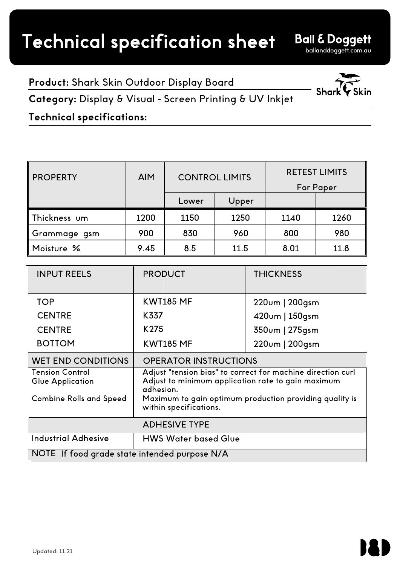**Ball & Doggett** 

**Product:** Shark Skin Outdoor Display Board

**Category:** Display & Visual - Screen Printing & UV Inkjet

**Technical specifications:**

| <b>PROPERTY</b> | <b>AIM</b> | <b>CONTROL LIMITS</b> |       | <b>RETEST LIMITS</b><br><b>For Paper</b> |      |
|-----------------|------------|-----------------------|-------|------------------------------------------|------|
|                 |            | Lower                 | Upper |                                          |      |
| Thickness um    | 1200       | 1150                  | 1250  | 1140                                     | 1260 |
| Grammage gsm    | 900        | 830                   | 960   | 800                                      | 980  |
| Moisture %      | 9.45       | 8.5                   | 11.5  | 8.01                                     | 11.8 |

| <b>INPUT REELS</b>                            | <b>PRODUCT</b>                                                                                                                 | <b>THICKNESS</b> |  |  |
|-----------------------------------------------|--------------------------------------------------------------------------------------------------------------------------------|------------------|--|--|
| <b>TOP</b>                                    | <b>KWT185 MF</b>                                                                                                               | 220um   200gsm   |  |  |
| <b>CENTRE</b>                                 | K337                                                                                                                           | 420um   150gsm   |  |  |
| <b>CENTRE</b>                                 | K275                                                                                                                           | 350um   275gsm   |  |  |
| <b>BOTTOM</b>                                 | <b>KWT185 MF</b>                                                                                                               | 220um   200gsm   |  |  |
| <b>WET END CONDITIONS</b>                     | <b>OPERATOR INSTRUCTIONS</b>                                                                                                   |                  |  |  |
| <b>Tension Control</b><br>Glue Application    | Adjust "tension bias" to correct for machine direction curl<br>Adjust to minimum application rate to gain maximum<br>adhesion. |                  |  |  |
| <b>Combine Rolls and Speed</b>                | Maximum to gain optimum production providing quality is<br>within specifications.                                              |                  |  |  |
| <b>ADHESIVE TYPE</b>                          |                                                                                                                                |                  |  |  |
| <b>Industrial Adhesive</b>                    | <b>HWS Water based Glue</b>                                                                                                    |                  |  |  |
| NOTE If food grade state intended purpose N/A |                                                                                                                                |                  |  |  |